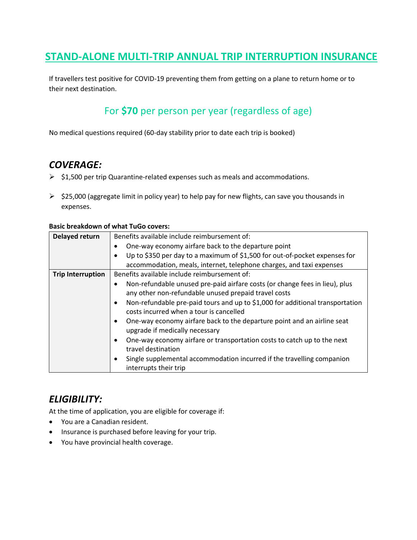## **STAND-ALONE MULTI-TRIP ANNUAL TRIP INTERRUPTION INSURANCE**

If travellers test positive for COVID-19 preventing them from getting on a plane to return home or to their next destination.

# For **\$70** per person per year (regardless of age)

No medical questions required (60-day stability prior to date each trip is booked)

### *COVERAGE:*

- ➢ \$1,500 per trip Quarantine-related expenses such as meals and accommodations.
- $\triangleright$  \$25,000 (aggregate limit in policy year) to help pay for new flights, can save you thousands in expenses.

#### **Basic breakdown of what TuGo covers:**

| Delayed return           | Benefits available include reimbursement of:                                                                                          |
|--------------------------|---------------------------------------------------------------------------------------------------------------------------------------|
|                          |                                                                                                                                       |
|                          | One-way economy airfare back to the departure point                                                                                   |
|                          | Up to \$350 per day to a maximum of \$1,500 for out-of-pocket expenses for                                                            |
|                          | accommodation, meals, internet, telephone charges, and taxi expenses                                                                  |
| <b>Trip Interruption</b> | Benefits available include reimbursement of:                                                                                          |
|                          | Non-refundable unused pre-paid airfare costs (or change fees in lieu), plus<br>٠                                                      |
|                          | any other non-refundable unused prepaid travel costs                                                                                  |
|                          | Non-refundable pre-paid tours and up to \$1,000 for additional transportation<br>$\bullet$<br>costs incurred when a tour is cancelled |
|                          | One-way economy airfare back to the departure point and an airline seat<br>٠<br>upgrade if medically necessary                        |
|                          | One-way economy airfare or transportation costs to catch up to the next<br>٠<br>travel destination                                    |
|                          | Single supplemental accommodation incurred if the travelling companion<br>٠<br>interrupts their trip                                  |

### *ELIGIBILITY:*

At the time of application, you are eligible for coverage if:

- You are a Canadian resident.
- Insurance is purchased before leaving for your trip.
- You have provincial health coverage.